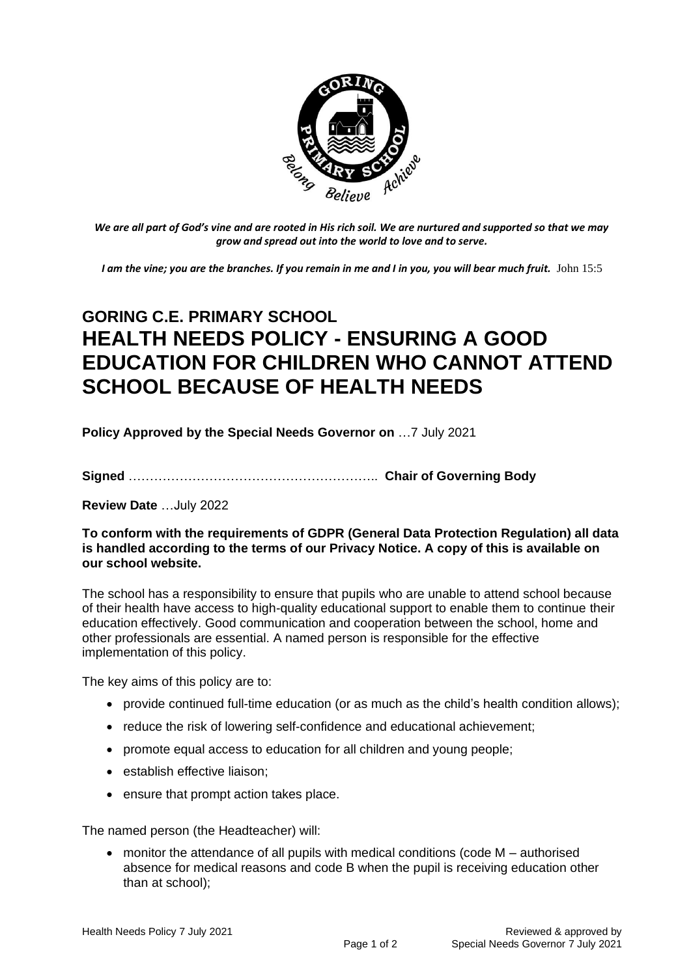

*We are all part of God's vine and are rooted in His rich soil. We are nurtured and supported so that we may grow and spread out into the world to love and to serve.*

*I am the vine; you are the branches. If you remain in me and I in you, you will bear much fruit.* John 15:5

## **GORING C.E. PRIMARY SCHOOL HEALTH NEEDS POLICY - ENSURING A GOOD EDUCATION FOR CHILDREN WHO CANNOT ATTEND SCHOOL BECAUSE OF HEALTH NEEDS**

**Policy Approved by the Special Needs Governor on** …7 July 2021

**Signed** ………………………………………………….. **Chair of Governing Body**

**Review Date** …July 2022

## **To conform with the requirements of GDPR (General Data Protection Regulation) all data is handled according to the terms of our Privacy Notice. A copy of this is available on our school website.**

The school has a responsibility to ensure that pupils who are unable to attend school because of their health have access to high-quality educational support to enable them to continue their education effectively. Good communication and cooperation between the school, home and other professionals are essential. A named person is responsible for the effective implementation of this policy.

The key aims of this policy are to:

- provide continued full-time education (or as much as the child's health condition allows);
- reduce the risk of lowering self-confidence and educational achievement;
- promote equal access to education for all children and young people;
- establish effective liaison:
- ensure that prompt action takes place.

The named person (the Headteacher) will:

• monitor the attendance of all pupils with medical conditions (code M – authorised absence for medical reasons and code B when the pupil is receiving education other than at school);